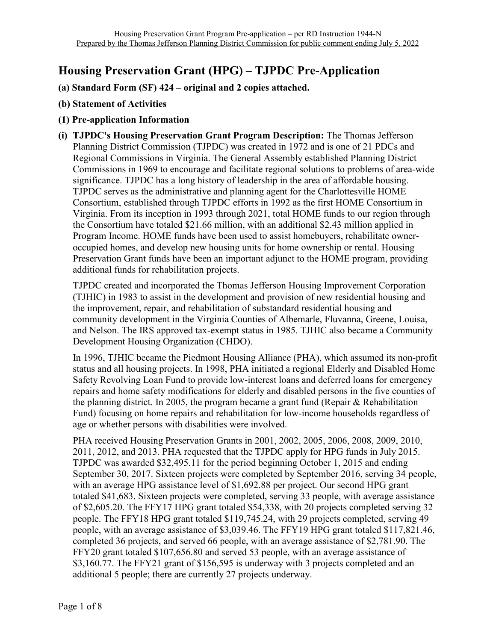## **Housing Preservation Grant (HPG) – TJPDC Pre-Application**

- **(a) Standard Form (SF) 424 – original and 2 copies attached.**
- **(b) Statement of Activities**
- **(1) Pre-application Information**
- **(i) TJPDC's Housing Preservation Grant Program Description:** The Thomas Jefferson Planning District Commission (TJPDC) was created in 1972 and is one of 21 PDCs and Regional Commissions in Virginia. The General Assembly established Planning District Commissions in 1969 to encourage and facilitate regional solutions to problems of area-wide significance. TJPDC has a long history of leadership in the area of affordable housing. TJPDC serves as the administrative and planning agent for the Charlottesville HOME Consortium, established through TJPDC efforts in 1992 as the first HOME Consortium in Virginia. From its inception in 1993 through 2021, total HOME funds to our region through the Consortium have totaled \$21.66 million, with an additional \$2.43 million applied in Program Income. HOME funds have been used to assist homebuyers, rehabilitate owneroccupied homes, and develop new housing units for home ownership or rental. Housing Preservation Grant funds have been an important adjunct to the HOME program, providing additional funds for rehabilitation projects.

TJPDC created and incorporated the Thomas Jefferson Housing Improvement Corporation (TJHIC) in 1983 to assist in the development and provision of new residential housing and the improvement, repair, and rehabilitation of substandard residential housing and community development in the Virginia Counties of Albemarle, Fluvanna, Greene, Louisa, and Nelson. The IRS approved tax-exempt status in 1985. TJHIC also became a Community Development Housing Organization (CHDO).

In 1996, TJHIC became the Piedmont Housing Alliance (PHA), which assumed its non-profit status and all housing projects. In 1998, PHA initiated a regional Elderly and Disabled Home Safety Revolving Loan Fund to provide low-interest loans and deferred loans for emergency repairs and home safety modifications for elderly and disabled persons in the five counties of the planning district. In 2005, the program became a grant fund (Repair & Rehabilitation Fund) focusing on home repairs and rehabilitation for low-income households regardless of age or whether persons with disabilities were involved.

PHA received Housing Preservation Grants in 2001, 2002, 2005, 2006, 2008, 2009, 2010, 2011, 2012, and 2013. PHA requested that the TJPDC apply for HPG funds in July 2015. TJPDC was awarded \$32,495.11 for the period beginning October 1, 2015 and ending September 30, 2017. Sixteen projects were completed by September 2016, serving 34 people, with an average HPG assistance level of \$1,692.88 per project. Our second HPG grant totaled \$41,683. Sixteen projects were completed, serving 33 people, with average assistance of \$2,605.20. The FFY17 HPG grant totaled \$54,338, with 20 projects completed serving 32 people. The FFY18 HPG grant totaled \$119,745.24, with 29 projects completed, serving 49 people, with an average assistance of \$3,039.46. The FFY19 HPG grant totaled \$117,821.46, completed 36 projects, and served 66 people, with an average assistance of \$2,781.90. The FFY20 grant totaled \$107,656.80 and served 53 people, with an average assistance of \$3,160.77. The FFY21 grant of \$156,595 is underway with 3 projects completed and an additional 5 people; there are currently 27 projects underway.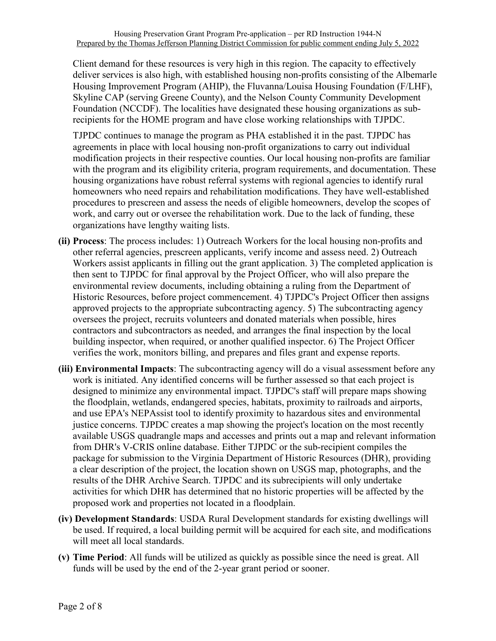Client demand for these resources is very high in this region. The capacity to effectively deliver services is also high, with established housing non-profits consisting of the Albemarle Housing Improvement Program (AHIP), the Fluvanna/Louisa Housing Foundation (F/LHF), Skyline CAP (serving Greene County), and the Nelson County Community Development Foundation (NCCDF). The localities have designated these housing organizations as subrecipients for the HOME program and have close working relationships with TJPDC.

TJPDC continues to manage the program as PHA established it in the past. TJPDC has agreements in place with local housing non-profit organizations to carry out individual modification projects in their respective counties. Our local housing non-profits are familiar with the program and its eligibility criteria, program requirements, and documentation. These housing organizations have robust referral systems with regional agencies to identify rural homeowners who need repairs and rehabilitation modifications. They have well-established procedures to prescreen and assess the needs of eligible homeowners, develop the scopes of work, and carry out or oversee the rehabilitation work. Due to the lack of funding, these organizations have lengthy waiting lists.

- **(ii) Process**: The process includes: 1) Outreach Workers for the local housing non-profits and other referral agencies, prescreen applicants, verify income and assess need. 2) Outreach Workers assist applicants in filling out the grant application. 3) The completed application is then sent to TJPDC for final approval by the Project Officer, who will also prepare the environmental review documents, including obtaining a ruling from the Department of Historic Resources, before project commencement. 4) TJPDC's Project Officer then assigns approved projects to the appropriate subcontracting agency. 5) The subcontracting agency oversees the project, recruits volunteers and donated materials when possible, hires contractors and subcontractors as needed, and arranges the final inspection by the local building inspector, when required, or another qualified inspector. 6) The Project Officer verifies the work, monitors billing, and prepares and files grant and expense reports.
- **(iii) Environmental Impacts**: The subcontracting agency will do a visual assessment before any work is initiated. Any identified concerns will be further assessed so that each project is designed to minimize any environmental impact. TJPDC's staff will prepare maps showing the floodplain, wetlands, endangered species, habitats, proximity to railroads and airports, and use EPA's NEPAssist tool to identify proximity to hazardous sites and environmental justice concerns. TJPDC creates a map showing the project's location on the most recently available USGS quadrangle maps and accesses and prints out a map and relevant information from DHR's V-CRIS online database. Either TJPDC or the sub-recipient compiles the package for submission to the Virginia Department of Historic Resources (DHR), providing a clear description of the project, the location shown on USGS map, photographs, and the results of the DHR Archive Search. TJPDC and its subrecipients will only undertake activities for which DHR has determined that no historic properties will be affected by the proposed work and properties not located in a floodplain.
- **(iv) Development Standards**: USDA Rural Development standards for existing dwellings will be used. If required, a local building permit will be acquired for each site, and modifications will meet all local standards.
- **(v) Time Period**: All funds will be utilized as quickly as possible since the need is great. All funds will be used by the end of the 2-year grant period or sooner.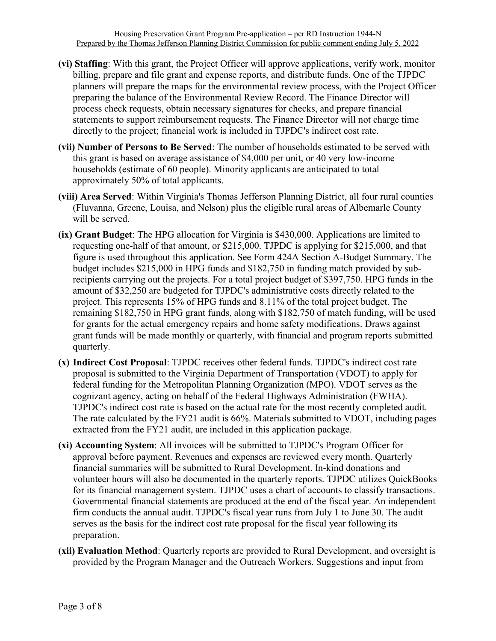- **(vi) Staffing**: With this grant, the Project Officer will approve applications, verify work, monitor billing, prepare and file grant and expense reports, and distribute funds. One of the TJPDC planners will prepare the maps for the environmental review process, with the Project Officer preparing the balance of the Environmental Review Record. The Finance Director will process check requests, obtain necessary signatures for checks, and prepare financial statements to support reimbursement requests. The Finance Director will not charge time directly to the project; financial work is included in TJPDC's indirect cost rate.
- **(vii) Number of Persons to Be Served**: The number of households estimated to be served with this grant is based on average assistance of \$4,000 per unit, or 40 very low-income households (estimate of 60 people). Minority applicants are anticipated to total approximately 50% of total applicants.
- **(viii) Area Served**: Within Virginia's Thomas Jefferson Planning District, all four rural counties (Fluvanna, Greene, Louisa, and Nelson) plus the eligible rural areas of Albemarle County will be served.
- **(ix) Grant Budget**: The HPG allocation for Virginia is \$430,000. Applications are limited to requesting one-half of that amount, or \$215,000. TJPDC is applying for \$215,000, and that figure is used throughout this application. See Form 424A Section A-Budget Summary. The budget includes \$215,000 in HPG funds and \$182,750 in funding match provided by subrecipients carrying out the projects. For a total project budget of \$397,750. HPG funds in the amount of \$32,250 are budgeted for TJPDC's administrative costs directly related to the project. This represents 15% of HPG funds and 8.11% of the total project budget. The remaining \$182,750 in HPG grant funds, along with \$182,750 of match funding, will be used for grants for the actual emergency repairs and home safety modifications. Draws against grant funds will be made monthly or quarterly, with financial and program reports submitted quarterly.
- **(x) Indirect Cost Proposal**: TJPDC receives other federal funds. TJPDC's indirect cost rate proposal is submitted to the Virginia Department of Transportation (VDOT) to apply for federal funding for the Metropolitan Planning Organization (MPO). VDOT serves as the cognizant agency, acting on behalf of the Federal Highways Administration (FWHA). TJPDC's indirect cost rate is based on the actual rate for the most recently completed audit. The rate calculated by the FY21 audit is 66%. Materials submitted to VDOT, including pages extracted from the FY21 audit, are included in this application package.
- **(xi) Accounting System**: All invoices will be submitted to TJPDC's Program Officer for approval before payment. Revenues and expenses are reviewed every month. Quarterly financial summaries will be submitted to Rural Development. In-kind donations and volunteer hours will also be documented in the quarterly reports. TJPDC utilizes QuickBooks for its financial management system. TJPDC uses a chart of accounts to classify transactions. Governmental financial statements are produced at the end of the fiscal year. An independent firm conducts the annual audit. TJPDC's fiscal year runs from July 1 to June 30. The audit serves as the basis for the indirect cost rate proposal for the fiscal year following its preparation.
- **(xii) Evaluation Method**: Quarterly reports are provided to Rural Development, and oversight is provided by the Program Manager and the Outreach Workers. Suggestions and input from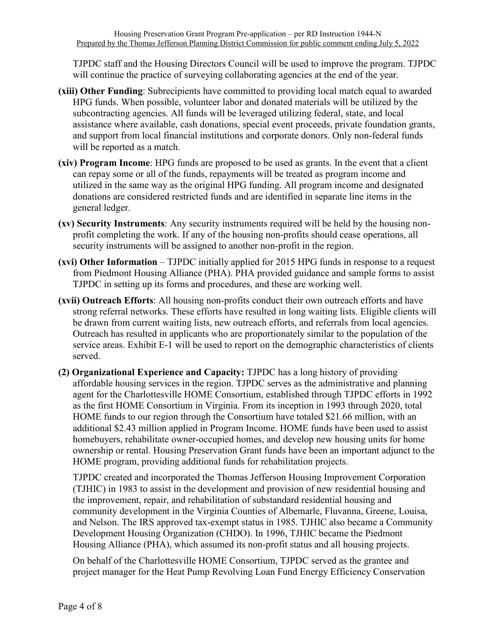TJPDC staff and the Housing Directors Council will be used to improve the program. TJPDC will continue the practice of surveying collaborating agencies at the end of the year.

- **(xiii) Other Funding**: Subrecipients have committed to providing local match equal to awarded HPG funds. When possible, volunteer labor and donated materials will be utilized by the subcontracting agencies. All funds will be leveraged utilizing federal, state, and local assistance where available, cash donations, special event proceeds, private foundation grants, and support from local financial institutions and corporate donors. Only non-federal funds will be reported as a match.
- **(xiv) Program Income**: HPG funds are proposed to be used as grants. In the event that a client can repay some or all of the funds, repayments will be treated as program income and utilized in the same way as the original HPG funding. All program income and designated donations are considered restricted funds and are identified in separate line items in the general ledger.
- **(xv) Security Instruments**: Any security instruments required will be held by the housing nonprofit completing the work. If any of the housing non-profits should cease operations, all security instruments will be assigned to another non-profit in the region.
- **(xvi) Other Information** TJPDC initially applied for 2015 HPG funds in response to a request from Piedmont Housing Alliance (PHA). PHA provided guidance and sample forms to assist TJPDC in setting up its forms and procedures, and these are working well.
- **(xvii) Outreach Efforts**: All housing non-profits conduct their own outreach efforts and have strong referral networks. These efforts have resulted in long waiting lists. Eligible clients will be drawn from current waiting lists, new outreach efforts, and referrals from local agencies. Outreach has resulted in applicants who are proportionately similar to the population of the service areas. Exhibit E-1 will be used to report on the demographic characteristics of clients served.
- **(2) Organizational Experience and Capacity:** TJPDC has a long history of providing affordable housing services in the region. TJPDC serves as the administrative and planning agent for the Charlottesville HOME Consortium, established through TJPDC efforts in 1992 as the first HOME Consortium in Virginia. From its inception in 1993 through 2020, total HOME funds to our region through the Consortium have totaled \$21.66 million, with an additional \$2.43 million applied in Program Income. HOME funds have been used to assist homebuyers, rehabilitate owner-occupied homes, and develop new housing units for home ownership or rental. Housing Preservation Grant funds have been an important adjunct to the HOME program, providing additional funds for rehabilitation projects.

TJPDC created and incorporated the Thomas Jefferson Housing Improvement Corporation (TJHIC) in 1983 to assist in the development and provision of new residential housing and the improvement, repair, and rehabilitation of substandard residential housing and community development in the Virginia Counties of Albemarle, Fluvanna, Greene, Louisa, and Nelson. The IRS approved tax-exempt status in 1985. TJHIC also became a Community Development Housing Organization (CHDO). In 1996, TJHIC became the Piedmont Housing Alliance (PHA), which assumed its non-profit status and all housing projects.

On behalf of the Charlottesville HOME Consortium, TJPDC served as the grantee and project manager for the Heat Pump Revolving Loan Fund Energy Efficiency Conservation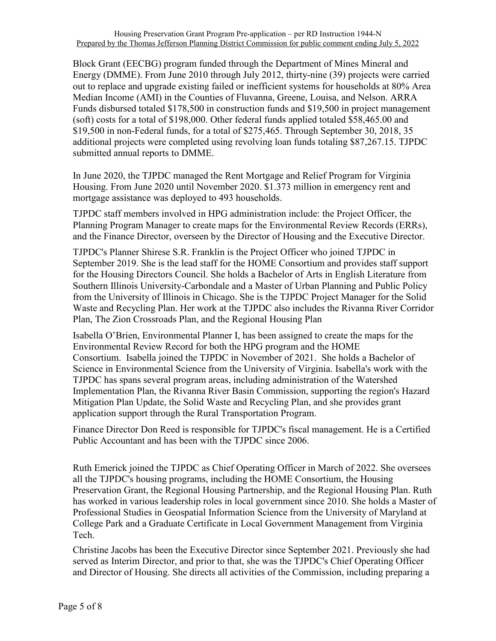Block Grant (EECBG) program funded through the Department of Mines Mineral and Energy (DMME). From June 2010 through July 2012, thirty-nine (39) projects were carried out to replace and upgrade existing failed or inefficient systems for households at 80% Area Median Income (AMI) in the Counties of Fluvanna, Greene, Louisa, and Nelson. ARRA Funds disbursed totaled \$178,500 in construction funds and \$19,500 in project management (soft) costs for a total of \$198,000. Other federal funds applied totaled \$58,465.00 and \$19,500 in non-Federal funds, for a total of \$275,465. Through September 30, 2018, 35 additional projects were completed using revolving loan funds totaling \$87,267.15. TJPDC submitted annual reports to DMME.

In June 2020, the TJPDC managed the Rent Mortgage and Relief Program for Virginia Housing. From June 2020 until November 2020. \$1.373 million in emergency rent and mortgage assistance was deployed to 493 households.

TJPDC staff members involved in HPG administration include: the Project Officer, the Planning Program Manager to create maps for the Environmental Review Records (ERRs), and the Finance Director, overseen by the Director of Housing and the Executive Director.

TJPDC's Planner Shirese S.R. Franklin is the Project Officer who joined TJPDC in September 2019. She is the lead staff for the HOME Consortium and provides staff support for the Housing Directors Council. She holds a Bachelor of Arts in English Literature from Southern Illinois University-Carbondale and a Master of Urban Planning and Public Policy from the University of Illinois in Chicago. She is the TJPDC Project Manager for the Solid Waste and Recycling Plan. Her work at the TJPDC also includes the Rivanna River Corridor Plan, The Zion Crossroads Plan, and the Regional Housing Plan

Isabella O'Brien, Environmental Planner I, has been assigned to create the maps for the Environmental Review Record for both the HPG program and the HOME Consortium. Isabella joined the TJPDC in November of 2021. She holds a Bachelor of Science in Environmental Science from the University of Virginia. Isabella's work with the TJPDC has spans several program areas, including administration of the Watershed Implementation Plan, the Rivanna River Basin Commission, supporting the region's Hazard Mitigation Plan Update, the Solid Waste and Recycling Plan, and she provides grant application support through the Rural Transportation Program.

Finance Director Don Reed is responsible for TJPDC's fiscal management. He is a Certified Public Accountant and has been with the TJPDC since 2006.

Ruth Emerick joined the TJPDC as Chief Operating Officer in March of 2022. She oversees all the TJPDC's housing programs, including the HOME Consortium, the Housing Preservation Grant, the Regional Housing Partnership, and the Regional Housing Plan. Ruth has worked in various leadership roles in local government since 2010. She holds a Master of Professional Studies in Geospatial Information Science from the University of Maryland at College Park and a Graduate Certificate in Local Government Management from Virginia Tech.

Christine Jacobs has been the Executive Director since September 2021. Previously she had served as Interim Director, and prior to that, she was the TJPDC's Chief Operating Officer and Director of Housing. She directs all activities of the Commission, including preparing a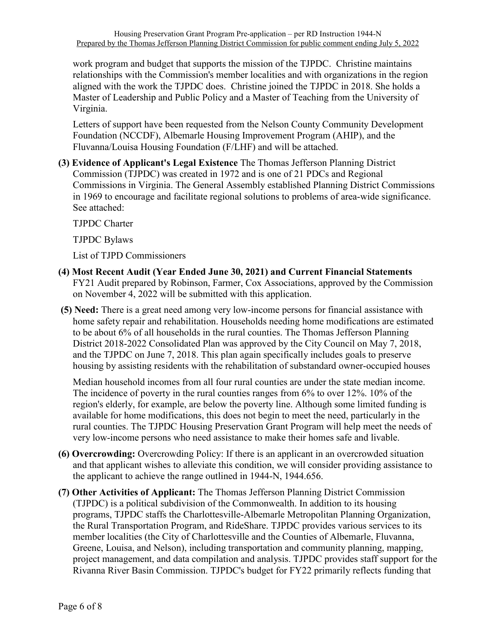work program and budget that supports the mission of the TJPDC. Christine maintains relationships with the Commission's member localities and with organizations in the region aligned with the work the TJPDC does. Christine joined the TJPDC in 2018. She holds a Master of Leadership and Public Policy and a Master of Teaching from the University of Virginia.

Letters of support have been requested from the Nelson County Community Development Foundation (NCCDF), Albemarle Housing Improvement Program (AHIP), and the Fluvanna/Louisa Housing Foundation (F/LHF) and will be attached.

**(3) Evidence of Applicant's Legal Existence** The Thomas Jefferson Planning District Commission (TJPDC) was created in 1972 and is one of 21 PDCs and Regional Commissions in Virginia. The General Assembly established Planning District Commissions in 1969 to encourage and facilitate regional solutions to problems of area-wide significance. See attached:

TJPDC Charter

TJPDC Bylaws

List of TJPD Commissioners

- **(4) Most Recent Audit (Year Ended June 30, 2021) and Current Financial Statements**  FY21 Audit prepared by Robinson, Farmer, Cox Associations, approved by the Commission on November 4, 2022 will be submitted with this application.
- **(5) Need:** There is a great need among very low-income persons for financial assistance with home safety repair and rehabilitation. Households needing home modifications are estimated to be about 6% of all households in the rural counties. The Thomas Jefferson Planning District 2018-2022 Consolidated Plan was approved by the City Council on May 7, 2018, and the TJPDC on June 7, 2018. This plan again specifically includes goals to preserve housing by assisting residents with the rehabilitation of substandard owner-occupied houses

Median household incomes from all four rural counties are under the state median income. The incidence of poverty in the rural counties ranges from 6% to over 12%. 10% of the region's elderly, for example, are below the poverty line. Although some limited funding is available for home modifications, this does not begin to meet the need, particularly in the rural counties. The TJPDC Housing Preservation Grant Program will help meet the needs of very low-income persons who need assistance to make their homes safe and livable.

- **(6) Overcrowding:** Overcrowding Policy: If there is an applicant in an overcrowded situation and that applicant wishes to alleviate this condition, we will consider providing assistance to the applicant to achieve the range outlined in 1944-N, 1944.656.
- **(7) Other Activities of Applicant:** The Thomas Jefferson Planning District Commission (TJPDC) is a political subdivision of the Commonwealth. In addition to its housing programs, TJPDC staffs the Charlottesville-Albemarle Metropolitan Planning Organization, the Rural Transportation Program, and RideShare. TJPDC provides various services to its member localities (the City of Charlottesville and the Counties of Albemarle, Fluvanna, Greene, Louisa, and Nelson), including transportation and community planning, mapping, project management, and data compilation and analysis. TJPDC provides staff support for the Rivanna River Basin Commission. TJPDC's budget for FY22 primarily reflects funding that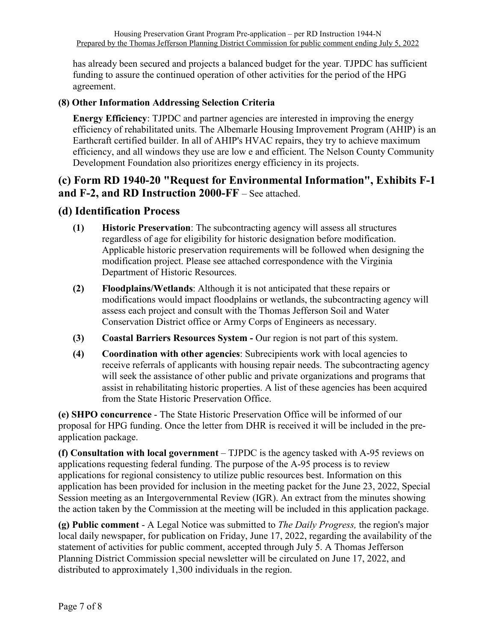has already been secured and projects a balanced budget for the year. TJPDC has sufficient funding to assure the continued operation of other activities for the period of the HPG agreement.

## **(8) Other Information Addressing Selection Criteria**

**Energy Efficiency**: TJPDC and partner agencies are interested in improving the energy efficiency of rehabilitated units. The Albemarle Housing Improvement Program (AHIP) is an Earthcraft certified builder. In all of AHIP's HVAC repairs, they try to achieve maximum efficiency, and all windows they use are low e and efficient. The Nelson County Community Development Foundation also prioritizes energy efficiency in its projects.

## **(c) Form RD 1940-20 "Request for Environmental Information", Exhibits F-1 and F-2, and RD Instruction 2000-FF** – See attached.

## **(d) Identification Process**

- **(1) Historic Preservation**: The subcontracting agency will assess all structures regardless of age for eligibility for historic designation before modification. Applicable historic preservation requirements will be followed when designing the modification project. Please see attached correspondence with the Virginia Department of Historic Resources.
- **(2) Floodplains/Wetlands**: Although it is not anticipated that these repairs or modifications would impact floodplains or wetlands, the subcontracting agency will assess each project and consult with the Thomas Jefferson Soil and Water Conservation District office or Army Corps of Engineers as necessary.
- **(3) Coastal Barriers Resources System -** Our region is not part of this system.
- **(4) Coordination with other agencies**: Subrecipients work with local agencies to receive referrals of applicants with housing repair needs. The subcontracting agency will seek the assistance of other public and private organizations and programs that assist in rehabilitating historic properties. A list of these agencies has been acquired from the State Historic Preservation Office.

**(e) SHPO concurrence** - The State Historic Preservation Office will be informed of our proposal for HPG funding. Once the letter from DHR is received it will be included in the preapplication package.

**(f) Consultation with local government** – TJPDC is the agency tasked with A-95 reviews on applications requesting federal funding. The purpose of the A-95 process is to review applications for regional consistency to utilize public resources best. Information on this application has been provided for inclusion in the meeting packet for the June 23, 2022, Special Session meeting as an Intergovernmental Review (IGR). An extract from the minutes showing the action taken by the Commission at the meeting will be included in this application package.

**(g) Public comment** - A Legal Notice was submitted to *The Daily Progress,* the region's major local daily newspaper, for publication on Friday, June 17, 2022, regarding the availability of the statement of activities for public comment, accepted through July 5. A Thomas Jefferson Planning District Commission special newsletter will be circulated on June 17, 2022, and distributed to approximately 1,300 individuals in the region.